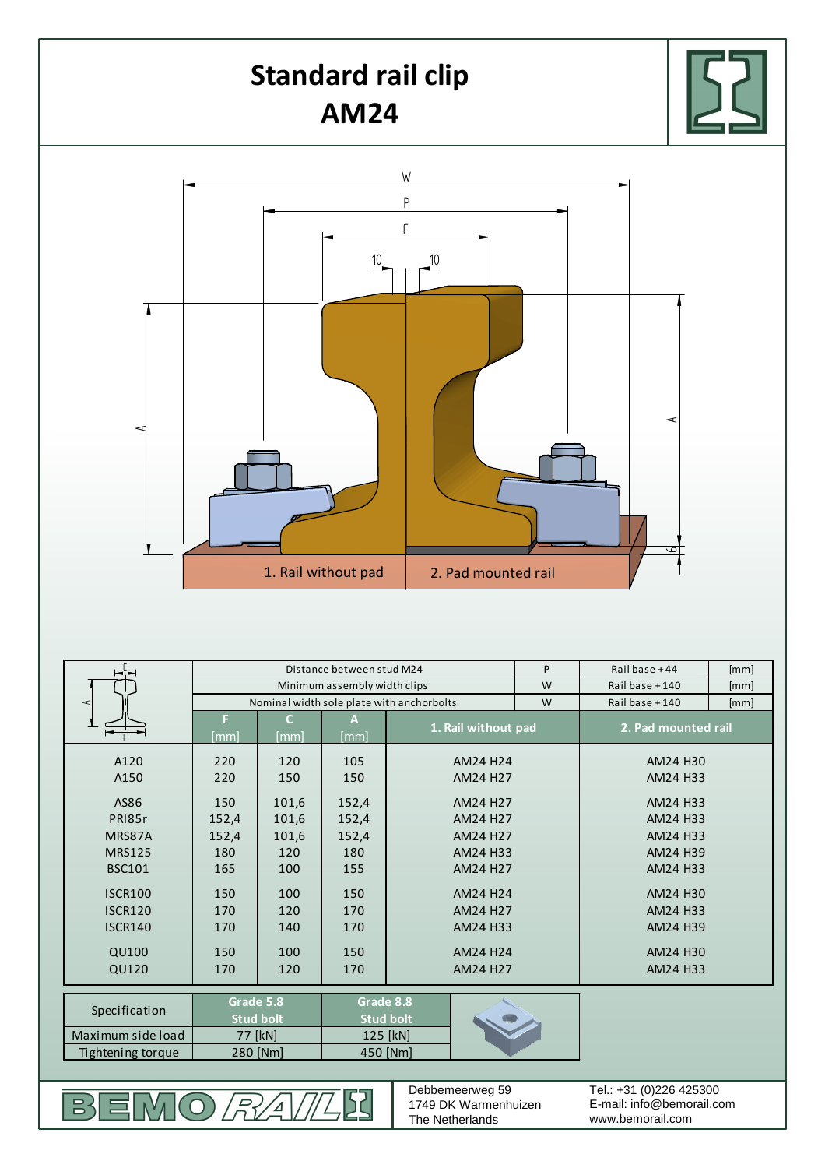